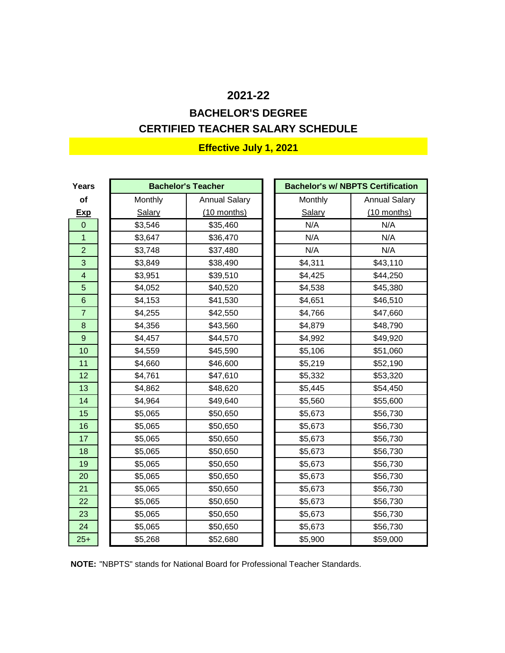# **CERTIFIED TEACHER SALARY SCHEDULE BACHELOR'S DEGREE**

| Years            |         | <b>Bachelor's Teacher</b> | <b>Bachelor's w/ NBPTS Certification</b> |         |                      |  |
|------------------|---------|---------------------------|------------------------------------------|---------|----------------------|--|
| of               | Monthly | <b>Annual Salary</b>      |                                          | Monthly | <b>Annual Salary</b> |  |
| <b>Exp</b>       | Salary  | $(10$ months)             |                                          | Salary  | $(10$ months)        |  |
| $\overline{0}$   | \$3,546 | \$35,460                  |                                          | N/A     | N/A                  |  |
| $\overline{1}$   | \$3,647 | \$36,470                  |                                          | N/A     | N/A                  |  |
| $\overline{c}$   | \$3,748 | \$37,480                  |                                          | N/A     | N/A                  |  |
| 3                | \$3,849 | \$38,490                  |                                          | \$4,311 | \$43,110             |  |
| 4                | \$3,951 | \$39,510                  |                                          | \$4,425 | \$44,250             |  |
| 5                | \$4,052 | \$40,520                  |                                          | \$4,538 | \$45,380             |  |
| $6\phantom{1}6$  | \$4,153 | \$41,530                  |                                          | \$4,651 | \$46,510             |  |
| $\overline{7}$   | \$4,255 | \$42,550                  |                                          | \$4,766 | \$47,660             |  |
| 8                | \$4,356 | \$43,560                  |                                          | \$4,879 | \$48,790             |  |
| $\boldsymbol{9}$ | \$4,457 | \$44,570                  |                                          | \$4,992 | \$49,920             |  |
| 10               | \$4,559 | \$45,590                  |                                          | \$5,106 | \$51,060             |  |
| 11               | \$4,660 | \$46,600                  |                                          | \$5,219 | \$52,190             |  |
| 12               | \$4,761 | \$47,610                  |                                          | \$5,332 | \$53,320             |  |
| 13               | \$4,862 | \$48,620                  |                                          | \$5,445 | \$54,450             |  |
| 14               | \$4,964 | \$49,640                  |                                          | \$5,560 | \$55,600             |  |
| 15               | \$5,065 | \$50,650                  |                                          | \$5,673 | \$56,730             |  |
| 16               | \$5,065 | \$50,650                  |                                          | \$5,673 | \$56,730             |  |
| 17               | \$5,065 | \$50,650                  |                                          | \$5,673 | \$56,730             |  |
| 18               | \$5,065 | \$50,650                  |                                          | \$5,673 | \$56,730             |  |
| 19               | \$5,065 | \$50,650                  |                                          | \$5,673 | \$56,730             |  |
| 20               | \$5,065 | \$50,650                  |                                          | \$5,673 | \$56,730             |  |
| 21               | \$5,065 | \$50,650                  |                                          | \$5,673 | \$56,730             |  |
| 22               | \$5,065 | \$50,650                  |                                          | \$5,673 | \$56,730             |  |
| 23               | \$5,065 | \$50,650                  |                                          | \$5,673 | \$56,730             |  |
| 24               | \$5,065 | \$50,650                  |                                          | \$5,673 | \$56,730             |  |
| $25+$            | \$5,268 | \$52,680                  |                                          | \$5,900 | \$59,000             |  |

**NOTE:** "NBPTS" stands for National Board for Professional Teacher Standards.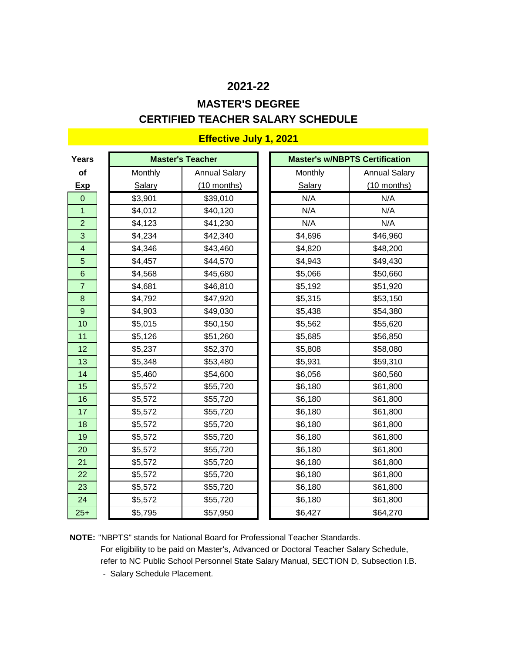# **CERTIFIED TEACHER SALARY SCHEDULE MASTER'S DEGREE**

| <b>Years</b>            |               | <b>Master's Teacher</b> |               | <b>Master's w/NBPTS Certification</b> |
|-------------------------|---------------|-------------------------|---------------|---------------------------------------|
| of                      | Monthly       | <b>Annual Salary</b>    | Monthly       | <b>Annual Salary</b>                  |
| <b>Exp</b>              | <b>Salary</b> | $(10$ months)           | <b>Salary</b> | $(10$ months)                         |
| $\mathbf 0$             | \$3,901       | \$39,010                | N/A           | N/A                                   |
| 1                       | \$4,012       | \$40,120                | N/A           | N/A                                   |
| $\overline{2}$          | \$4,123       | \$41,230                | N/A           | N/A                                   |
| 3                       | \$4,234       | \$42,340                | \$4,696       | \$46,960                              |
| $\overline{\mathbf{4}}$ | \$4,346       | \$43,460                | \$4,820       | \$48,200                              |
| 5                       | \$4,457       | \$44,570                | \$4,943       | \$49,430                              |
| 6                       | \$4,568       | \$45,680                | \$5,066       | \$50,660                              |
| $\overline{7}$          | \$4,681       | \$46,810                | \$5,192       | \$51,920                              |
| 8                       | \$4,792       | \$47,920                | \$5,315       | \$53,150                              |
| 9                       | \$4,903       | \$49,030                | \$5,438       | \$54,380                              |
| 10                      | \$5,015       | \$50,150                | \$5,562       | \$55,620                              |
| 11                      | \$5,126       | \$51,260                | \$5,685       | \$56,850                              |
| 12                      | \$5,237       | \$52,370                | \$5,808       | \$58,080                              |
| 13                      | \$5,348       | \$53,480                | \$5,931       | \$59,310                              |
| 14                      | \$5,460       | \$54,600                | \$6,056       | \$60,560                              |
| 15                      | \$5,572       | \$55,720                | \$6,180       | \$61,800                              |
| 16                      | \$5,572       | \$55,720                | \$6,180       | \$61,800                              |
| 17                      | \$5,572       | \$55,720                | \$6,180       | \$61,800                              |
| 18                      | \$5,572       | \$55,720                | \$6,180       | \$61,800                              |
| 19                      | \$5,572       | \$55,720                | \$6,180       | \$61,800                              |
| 20                      | \$5,572       | \$55,720                | \$6,180       | \$61,800                              |
| 21                      | \$5,572       | \$55,720                | \$6,180       | \$61,800                              |
| 22                      | \$5,572       | \$55,720                | \$6,180       | \$61,800                              |
| 23                      | \$5,572       | \$55,720                | \$6,180       | \$61,800                              |
| 24                      | \$5,572       | \$55,720                | \$6,180       | \$61,800                              |
| $25+$                   | \$5,795       | \$57,950                | \$6,427       | \$64,270                              |

### **Effective July 1, 2021**

**NOTE:** "NBPTS" stands for National Board for Professional Teacher Standards. For eligibility to be paid on Master's, Advanced or Doctoral Teacher Salary Schedule, refer to NC Public School Personnel State Salary Manual, SECTION D, Subsection I.B.

- Salary Schedule Placement.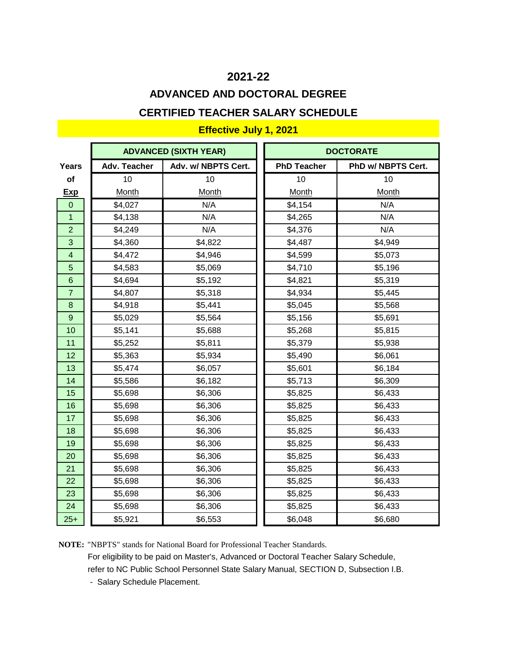# **CERTIFIED TEACHER SALARY SCHEDULE ADVANCED AND DOCTORAL DEGREE**

### **Effective July 1, 2021**

|                 |                     | <b>ADVANCED (SIXTH YEAR)</b> |                    | <b>DOCTORATE</b>   |
|-----------------|---------------------|------------------------------|--------------------|--------------------|
| Years           | <b>Adv. Teacher</b> | Adv. w/ NBPTS Cert.          | <b>PhD Teacher</b> | PhD w/ NBPTS Cert. |
| of              | 10                  | 10                           | 10                 | 10                 |
| <b>Exp</b>      | Month               | Month                        | <b>Month</b>       | Month              |
| $\mathbf 0$     | \$4,027             | N/A                          | \$4,154            | N/A                |
| $\mathbf{1}$    | \$4,138             | N/A                          | \$4,265            | N/A                |
| $\overline{2}$  | \$4,249             | N/A                          | \$4,376            | N/A                |
| 3               | \$4,360             | \$4,822                      | \$4,487            | \$4,949            |
| $\overline{4}$  | \$4,472             | \$4,946                      | \$4,599            | \$5,073            |
| 5               | \$4,583             | \$5,069                      | \$4,710            | \$5,196            |
| $6\phantom{1}6$ | \$4,694             | \$5,192                      | \$4,821            | \$5,319            |
| $\overline{7}$  | \$4,807             | \$5,318                      | \$4,934            | \$5,445            |
| 8               | \$4,918             | \$5,441                      | \$5,045            | \$5,568            |
| 9               | \$5,029             | \$5,564                      | \$5,156            | \$5,691            |
| 10              | \$5,141             | \$5,688                      | \$5,268            | \$5,815            |
| 11              | \$5,252             | \$5,811                      | \$5,379            | \$5,938            |
| 12              | \$5,363             | \$5,934                      | \$5,490            | \$6,061            |
| 13              | \$5,474             | \$6,057                      | \$5,601            | \$6,184            |
| 14              | \$5,586             | \$6,182                      | \$5,713            | \$6,309            |
| 15              | \$5,698             | \$6,306                      | \$5,825            | \$6,433            |
| 16              | \$5,698             | \$6,306                      | \$5,825            | \$6,433            |
| 17              | \$5,698             | \$6,306                      | \$5,825            | \$6,433            |
| 18              | \$5,698             | \$6,306                      | \$5,825            | \$6,433            |
| 19              | \$5,698             | \$6,306                      | \$5,825            | \$6,433            |
| 20              | \$5,698             | \$6,306                      | \$5,825            | \$6,433            |
| 21              | \$5,698             | \$6,306                      | \$5,825            | \$6,433            |
| 22              | \$5,698             | \$6,306                      | \$5,825            | \$6,433            |
| 23              | \$5,698             | \$6,306                      | \$5,825            | \$6,433            |
| 24              | \$5,698             | \$6,306                      | \$5,825            | \$6,433            |
| $25+$           | \$5,921             | \$6,553                      | \$6,048            | \$6,680            |

**NOTE:** "NBPTS" stands for National Board for Professional Teacher Standards. For eligibility to be paid on Master's, Advanced or Doctoral Teacher Salary Schedule,

refer to NC Public School Personnel State Salary Manual, SECTION D, Subsection I.B.

- Salary Schedule Placement.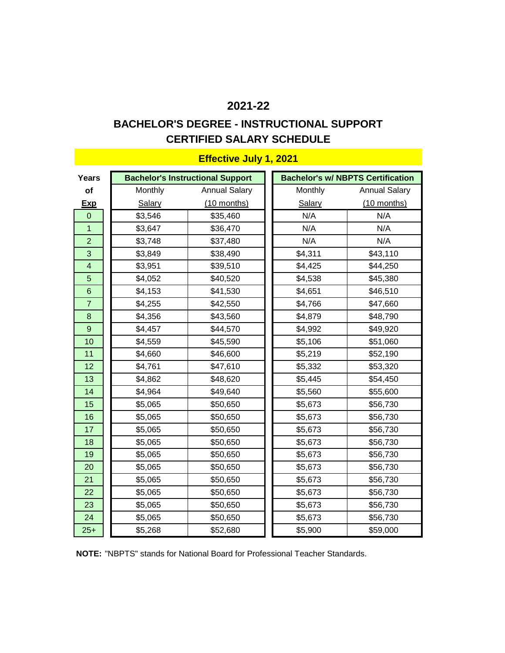### **CERTIFIED SALARY SCHEDULE BACHELOR'S DEGREE - INSTRUCTIONAL SUPPORT**

| Years          |         | <b>Bachelor's Instructional Support</b> |         | <b>Bachelor's w/ NBPTS Certification</b> |
|----------------|---------|-----------------------------------------|---------|------------------------------------------|
| of             | Monthly | <b>Annual Salary</b>                    | Monthly | <b>Annual Salary</b>                     |
| <b>Exp</b>     | Salary  | $(10$ months)                           | Salary  | (10 months)                              |
| $\mathbf 0$    | \$3,546 | \$35,460                                | N/A     | N/A                                      |
| 1              | \$3,647 | \$36,470                                | N/A     | N/A                                      |
| $\overline{2}$ | \$3,748 | \$37,480                                | N/A     | N/A                                      |
| 3              | \$3,849 | \$38,490                                | \$4,311 | \$43,110                                 |
| $\overline{4}$ | \$3,951 | \$39,510                                | \$4,425 | \$44,250                                 |
| 5              | \$4,052 | \$40,520                                | \$4,538 | \$45,380                                 |
| $6\phantom{1}$ | \$4,153 | \$41,530                                | \$4,651 | \$46,510                                 |
| $\overline{7}$ | \$4,255 | \$42,550                                | \$4,766 | \$47,660                                 |
| 8              | \$4,356 | \$43,560                                | \$4,879 | \$48,790                                 |
| 9              | \$4,457 | \$44,570                                | \$4,992 | \$49,920                                 |
| 10             | \$4,559 | \$45,590                                | \$5,106 | \$51,060                                 |
| 11             | \$4,660 | \$46,600                                | \$5,219 | \$52,190                                 |
| 12             | \$4,761 | \$47,610                                | \$5,332 | \$53,320                                 |
| 13             | \$4,862 | \$48,620                                | \$5,445 | \$54,450                                 |
| 14             | \$4,964 | \$49,640                                | \$5,560 | \$55,600                                 |
| 15             | \$5,065 | \$50,650                                | \$5,673 | \$56,730                                 |
| 16             | \$5,065 | \$50,650                                | \$5,673 | \$56,730                                 |
| 17             | \$5,065 | \$50,650                                | \$5,673 | \$56,730                                 |
| 18             | \$5,065 | \$50,650                                | \$5,673 | \$56,730                                 |
| 19             | \$5,065 | \$50,650                                | \$5,673 | \$56,730                                 |
| 20             | \$5,065 | \$50,650                                | \$5,673 | \$56,730                                 |
| 21             | \$5,065 | \$50,650                                | \$5,673 | \$56,730                                 |
| 22             | \$5,065 | \$50,650                                | \$5,673 | \$56,730                                 |
| 23             | \$5,065 | \$50,650                                | \$5,673 | \$56,730                                 |
| 24             | \$5,065 | \$50,650                                | \$5,673 | \$56,730                                 |
| $25+$          | \$5,268 | \$52,680                                | \$5,900 | \$59,000                                 |

**NOTE:** "NBPTS" stands for National Board for Professional Teacher Standards.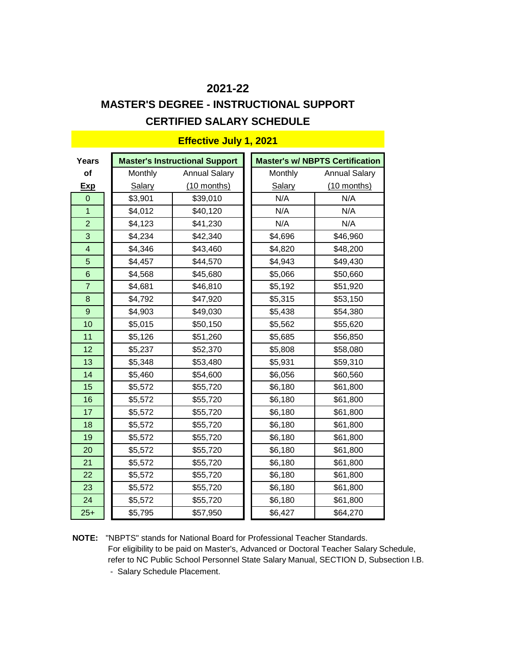# **MASTER'S DEGREE - INSTRUCTIONAL SUPPORT**

### **CERTIFIED SALARY SCHEDULE**

| Years                    |               | <b>Master's Instructional Support</b> |  |                | <b>Master's w/ NBPTS Certification</b> |
|--------------------------|---------------|---------------------------------------|--|----------------|----------------------------------------|
| <b>of</b>                | Monthly       | <b>Annual Salary</b>                  |  | <b>Monthly</b> | <b>Annual Salary</b>                   |
| <u>Exp</u>               | <b>Salary</b> | (10 months)                           |  | <b>Salary</b>  | (10 months)                            |
| $\mathbf 0$              | \$3,901       | \$39,010                              |  | N/A            | N/A                                    |
| $\overline{1}$           | \$4,012       | \$40,120                              |  | N/A            | N/A                                    |
| $\overline{2}$           | \$4,123       | \$41,230                              |  | N/A            | N/A                                    |
| 3                        | \$4,234       | \$42,340                              |  | \$4,696        | \$46,960                               |
| $\overline{\mathcal{A}}$ | \$4,346       | \$43,460                              |  | \$4,820        | \$48,200                               |
| 5                        | \$4,457       | \$44,570                              |  | \$4,943        | \$49,430                               |
| 6                        | \$4,568       | \$45,680                              |  | \$5,066        | \$50,660                               |
| $\overline{7}$           | \$4,681       | \$46,810                              |  | \$5,192        | \$51,920                               |
| 8                        | \$4,792       | \$47,920                              |  | \$5,315        | \$53,150                               |
| 9                        | \$4,903       | \$49,030                              |  | \$5,438        | \$54,380                               |
| 10                       | \$5,015       | \$50,150                              |  | \$5,562        | \$55,620                               |
| 11                       | \$5,126       | \$51,260                              |  | \$5,685        | \$56,850                               |
| 12                       | \$5,237       | \$52,370                              |  | \$5,808        | \$58,080                               |
| 13                       | \$5,348       | \$53,480                              |  | \$5,931        | \$59,310                               |
| 14                       | \$5,460       | \$54,600                              |  | \$6,056        | \$60,560                               |
| 15                       | \$5,572       | \$55,720                              |  | \$6,180        | \$61,800                               |
| 16                       | \$5,572       | \$55,720                              |  | \$6,180        | \$61,800                               |
| 17                       | \$5,572       | \$55,720                              |  | \$6,180        | \$61,800                               |
| 18                       | \$5,572       | \$55,720                              |  | \$6,180        | \$61,800                               |
| 19                       | \$5,572       | \$55,720                              |  | \$6,180        | \$61,800                               |
| 20                       | \$5,572       | \$55,720                              |  | \$6,180        | \$61,800                               |
| 21                       | \$5,572       | \$55,720                              |  | \$6,180        | \$61,800                               |
| 22                       | \$5,572       | \$55,720                              |  | \$6,180        | \$61,800                               |
| 23                       | \$5,572       | \$55,720                              |  | \$6,180        | \$61,800                               |
| 24                       | \$5,572       | \$55,720                              |  | \$6,180        | \$61,800                               |
| $25+$                    | \$5,795       | \$57,950                              |  | \$6,427        | \$64,270                               |

**Effective July 1, 2021**

**NOTE:** "NBPTS" stands for National Board for Professional Teacher Standards. For eligibility to be paid on Master's, Advanced or Doctoral Teacher Salary Schedule, refer to NC Public School Personnel State Salary Manual, SECTION D, Subsection I.B. - Salary Schedule Placement.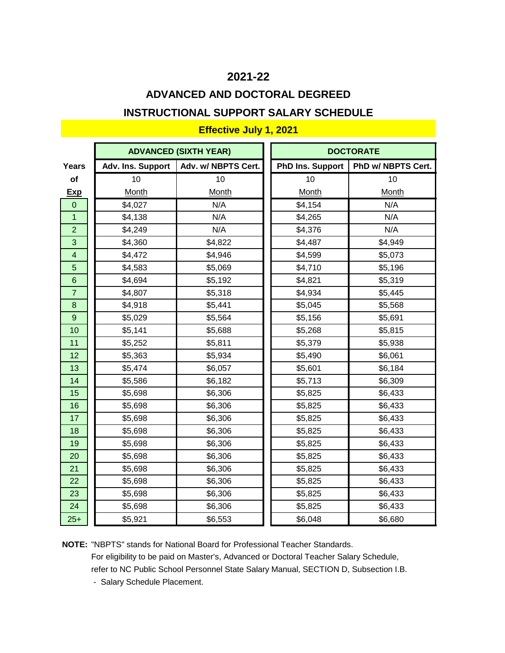# **ADVANCED AND DOCTORAL DEGREED INSTRUCTIONAL SUPPORT SALARY SCHEDULE**

### **ADVANCED (SIXTH YEAR) DOCTORATE Years Adv. Ins. Support Adv. w/ NBPTS Cert. PhD Ins. Support PhD w/ NBPTS Cert. of |** 10 | 10 | 10 | 10 | 10 **Exp** Month Month Month Month 0 \$4,027 N/A \$4,154 N/A 1 || \$4,138 || N/A || \$4,265 || N/A 2 \$4,249 | N/A || \$4,376 N/A 3 **\$4,360** \$4,822 **\$4,487** \$4,949 4 | \$4,472 | \$4,946 | \$4,599 | \$5,073 5 **\$4,583** \$5,069 **\$5,069 \$5,196** 6 | \$4,694 | \$5,192 || \$4,821 | \$5,319 **7** | \$4,807 | \$5,318 | \$4,934 | \$5,445 8 \$4,918 \$5,441 || \$5,045 \$5,568 9 | \$5,029 | \$5,564 || \$5,156 | \$5,691 10 **|| \$5,141 | \$5,688 || \$5,268** | \$5,815 11 || \$5,252 | \$5,811 || \$5,379 | \$5,938 12 **|| \$5,363 | \$5,934 || \$5,490 | \$6,061** 13 || \$5,474 || \$6,057 || \$5,601 || \$6,184 **14 \$5,586** \$6,182 **\$6,713** \$6,309 15 **| \$5,698 | \$6,306 | \$5,825** | \$6,433 16 || \$5,698 || \$6,306 || \$5,825 || \$6,433 17 || \$5,698 | \$6,306 || \$5,825 | \$6,433 18 || \$5,698 || \$6,306 || \$5,825 || \$6,433 19 || \$5,698 || \$6,306 || \$5,825 || \$6,433 20 || \$5,698 || \$6,306 || \$5,825 || \$6,433 21 | \$5,698 | \$6,306 | \$5,825 | \$6,433 22 | \$5,698 | \$6,306 | \$5,825 | \$6,433 23 || \$5,698 || \$6,306 || \$5,825 || \$6,433 24 | \$5,698 | \$6,306 | \$5,825 | \$6,433 25+ \$5,921 \$6,553 || \$6,048 \$6,680

#### **Effective July 1, 2021**

**NOTE:** "NBPTS" stands for National Board for Professional Teacher Standards. For eligibility to be paid on Master's, Advanced or Doctoral Teacher Salary Schedule, refer to NC Public School Personnel State Salary Manual, SECTION D, Subsection I.B.

- Salary Schedule Placement.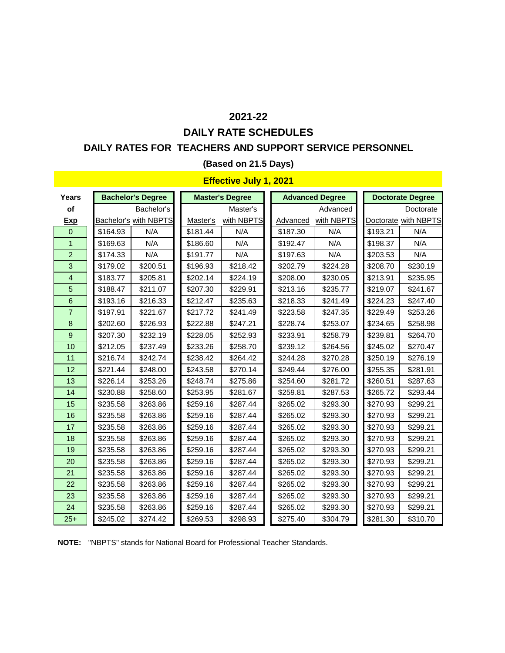# **DAILY RATE SCHEDULES 2021-22**

### **DAILY RATES FOR TEACHERS AND SUPPORT SERVICE PERSONNEL**

#### **(Based on 21.5 Days)**

#### **Effective July 1, 2021**

| <b>Years</b>   |          | <b>Bachelor's Degree</b>     |          | <b>Master's Degree</b> |  | <b>Advanced Degree</b> |          |  | <b>Doctorate Degree</b> |          |  |
|----------------|----------|------------------------------|----------|------------------------|--|------------------------|----------|--|-------------------------|----------|--|
| of             |          | Bachelor's                   |          | Master's               |  |                        | Advanced |  | Doctorate               |          |  |
| <b>Exp</b>     |          | <b>Bachelor's with NBPTS</b> | Master's | with NBPTS             |  | with NBPTS<br>Advanced |          |  | Doctorate with NBPTS    |          |  |
| $\mathbf{0}$   | \$164.93 | N/A                          | \$181.44 | N/A                    |  | \$187.30               | N/A      |  | \$193.21                | N/A      |  |
| $\mathbf{1}$   | \$169.63 | N/A                          | \$186.60 | N/A                    |  | \$192.47               | N/A      |  | \$198.37                | N/A      |  |
| $\overline{2}$ | \$174.33 | N/A                          | \$191.77 | N/A                    |  | \$197.63               | N/A      |  | \$203.53                | N/A      |  |
| 3              | \$179.02 | \$200.51                     | \$196.93 | \$218.42               |  | \$202.79               | \$224.28 |  | \$208.70                | \$230.19 |  |
| $\overline{4}$ | \$183.77 | \$205.81                     | \$202.14 | \$224.19               |  | \$208.00               | \$230.05 |  | \$213.91                | \$235.95 |  |
| 5              | \$188.47 | \$211.07                     | \$207.30 | \$229.91               |  | \$213.16               | \$235.77 |  | \$219.07                | \$241.67 |  |
| 6              | \$193.16 | \$216.33                     | \$212.47 | \$235.63               |  | \$218.33               | \$241.49 |  | \$224.23                | \$247.40 |  |
| $\overline{7}$ | \$197.91 | \$221.67                     | \$217.72 | \$241.49               |  | \$223.58               | \$247.35 |  | \$229.49                | \$253.26 |  |
| 8              | \$202.60 | \$226.93                     | \$222.88 | \$247.21               |  | \$228.74               | \$253.07 |  | \$234.65                | \$258.98 |  |
| $\overline{9}$ | \$207.30 | \$232.19                     | \$228.05 | \$252.93               |  | \$233.91               | \$258.79 |  | \$239.81                | \$264.70 |  |
| 10             | \$212.05 | \$237.49                     | \$233.26 | \$258.70               |  | \$239.12               | \$264.56 |  | \$245.02                | \$270.47 |  |
| 11             | \$216.74 | \$242.74                     | \$238.42 | \$264.42               |  | \$244.28               | \$270.28 |  | \$250.19                | \$276.19 |  |
| 12             | \$221.44 | \$248.00                     | \$243.58 | \$270.14               |  | \$249.44               | \$276.00 |  | \$255.35                | \$281.91 |  |
| 13             | \$226.14 | \$253.26                     | \$248.74 | \$275.86               |  | \$254.60               | \$281.72 |  | \$260.51                | \$287.63 |  |
| 14             | \$230.88 | \$258.60                     | \$253.95 | \$281.67               |  | \$259.81               | \$287.53 |  | \$265.72                | \$293.44 |  |
| 15             | \$235.58 | \$263.86                     | \$259.16 | \$287.44               |  | \$265.02               | \$293.30 |  | \$270.93                | \$299.21 |  |
| 16             | \$235.58 | \$263.86                     | \$259.16 | \$287.44               |  | \$265.02               | \$293.30 |  | \$270.93                | \$299.21 |  |
| 17             | \$235.58 | \$263.86                     | \$259.16 | \$287.44               |  | \$265.02               | \$293.30 |  | \$270.93                | \$299.21 |  |
| 18             | \$235.58 | \$263.86                     | \$259.16 | \$287.44               |  | \$265.02               | \$293.30 |  | \$270.93                | \$299.21 |  |
| 19             | \$235.58 | \$263.86                     | \$259.16 | \$287.44               |  | \$265.02               | \$293.30 |  | \$270.93                | \$299.21 |  |
| 20             | \$235.58 | \$263.86                     | \$259.16 | \$287.44               |  | \$265.02               | \$293.30 |  | \$270.93                | \$299.21 |  |
| 21             | \$235.58 | \$263.86                     | \$259.16 | \$287.44               |  | \$265.02               | \$293.30 |  | \$270.93                | \$299.21 |  |
| 22             | \$235.58 | \$263.86                     | \$259.16 | \$287.44               |  | \$265.02               | \$293.30 |  | \$270.93                | \$299.21 |  |
| 23             | \$235.58 | \$263.86                     | \$259.16 | \$287.44               |  | \$265.02               | \$293.30 |  | \$270.93                | \$299.21 |  |
| 24             | \$235.58 | \$263.86                     | \$259.16 | \$287.44               |  | \$265.02               | \$293.30 |  | \$270.93                | \$299.21 |  |
| $25+$          | \$245.02 | \$274.42                     | \$269.53 | \$298.93               |  | \$275.40               | \$304.79 |  | \$281.30                | \$310.70 |  |

**NOTE:** "NBPTS" stands for National Board for Professional Teacher Standards.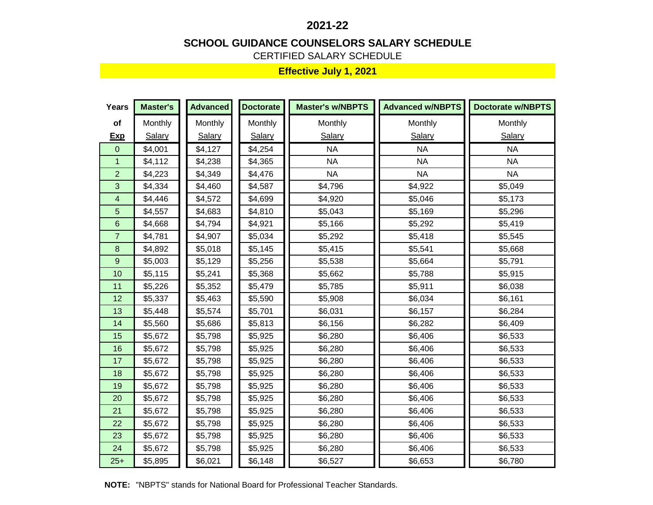#### **SCHOOL GUIDANCE COUNSELORS SALARY SCHEDULE**

CERTIFIED SALARY SCHEDULE

| <b>Years</b>   | <b>Master's</b> | <b>Advanced</b> | <b>Doctorate</b> | <b>Master's w/NBPTS</b> | <b>Advanced w/NBPTS</b> | <b>Doctorate w/NBPTS</b> |
|----------------|-----------------|-----------------|------------------|-------------------------|-------------------------|--------------------------|
| of             | Monthly         | Monthly         | Monthly          | Monthly                 | Monthly                 | Monthly                  |
| <b>Exp</b>     | <b>Salary</b>   | <b>Salary</b>   | Salary           | Salary                  | Salary                  | Salary                   |
| $\mathbf{0}$   | \$4,001         | \$4,127         | \$4,254          | <b>NA</b>               | <b>NA</b>               | <b>NA</b>                |
| $\mathbf{1}$   | \$4,112         | \$4,238         | \$4,365          | <b>NA</b>               | <b>NA</b>               | <b>NA</b>                |
| $\overline{2}$ | \$4,223         | \$4,349         | \$4,476          | <b>NA</b>               | <b>NA</b>               | <b>NA</b>                |
| 3              | \$4,334         | \$4,460         | \$4,587          | \$4,796                 | \$4,922                 | \$5,049                  |
| 4              | \$4,446         | \$4,572         | \$4,699          | \$4,920                 | \$5,046                 | \$5,173                  |
| 5              | \$4,557         | \$4,683         | \$4,810          | \$5,043                 | \$5,169                 | \$5,296                  |
| 6              | \$4,668         | \$4,794         | \$4,921          | \$5,166                 | \$5,292                 | \$5,419                  |
| $\overline{7}$ | \$4,781         | \$4,907         | \$5,034          | \$5,292                 | \$5,418                 | \$5,545                  |
| 8              | \$4,892         | \$5,018         | \$5,145          | \$5,415                 | \$5,541                 | \$5,668                  |
| 9              | \$5,003         | \$5,129         | \$5,256          | \$5,538                 | \$5,664                 | \$5,791                  |
| 10             | \$5,115         | \$5,241         | \$5,368          | \$5,662                 | \$5,788                 | \$5,915                  |
| 11             | \$5,226         | \$5,352         | \$5,479          | \$5,785                 | \$5,911                 | \$6,038                  |
| 12             | \$5,337         | \$5,463         | \$5,590          | \$5,908                 | \$6,034                 | \$6,161                  |
| 13             | \$5,448         | \$5,574         | \$5,701          | \$6,031                 | \$6,157                 | \$6,284                  |
| 14             | \$5,560         | \$5,686         | \$5,813          | \$6,156                 | \$6,282                 | \$6,409                  |
| 15             | \$5,672         | \$5,798         | \$5,925          | \$6,280                 | \$6,406                 | \$6,533                  |
| 16             | \$5,672         | \$5,798         | \$5,925          | \$6,280                 | \$6,406                 | \$6,533                  |
| 17             | \$5,672         | \$5,798         | \$5,925          | \$6,280                 | \$6,406                 | \$6,533                  |
| 18             | \$5,672         | \$5,798         | \$5,925          | \$6,280                 | \$6,406                 | \$6,533                  |
| 19             | \$5,672         | \$5,798         | \$5,925          | \$6,280                 | \$6,406                 | \$6,533                  |
| 20             | \$5,672         | \$5,798         | \$5,925          | \$6,280                 | \$6,406                 | \$6,533                  |
| 21             | \$5,672         | \$5,798         | \$5,925          | \$6,280                 | \$6,406                 | \$6,533                  |
| 22             | \$5,672         | \$5,798         | \$5,925          | \$6,280                 | \$6,406                 | \$6,533                  |
| 23             | \$5,672         | \$5,798         | \$5,925          | \$6,280                 | \$6,406                 | \$6,533                  |
| 24             | \$5,672         | \$5,798         | \$5,925          | \$6,280                 | \$6,406                 | \$6,533                  |
| $25+$          | \$5,895         | \$6,021         | \$6,148          | \$6,527                 | \$6,653                 | \$6,780                  |

**NOTE:** "NBPTS" stands for National Board for Professional Teacher Standards.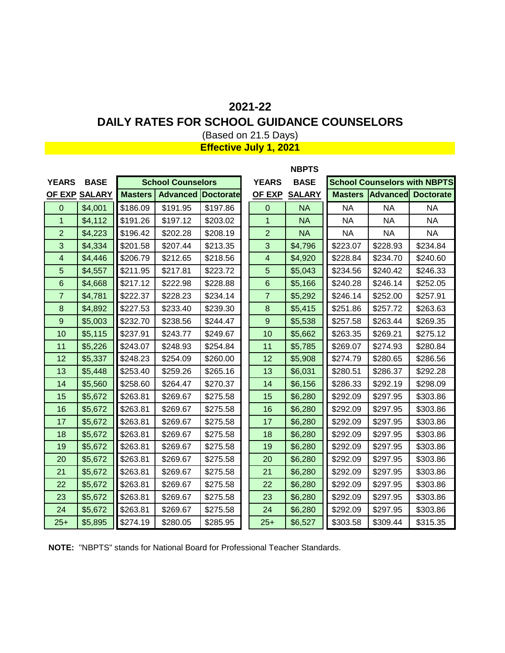#### **DAILY RATES FOR SCHOOL GUIDANCE COUNSELORS**

(Based on 21.5 Days) **Effective July 1, 2021**

|                |               |                          |                           |          |                | <b>NBPTS</b>  |                |           |                                     |
|----------------|---------------|--------------------------|---------------------------|----------|----------------|---------------|----------------|-----------|-------------------------------------|
| <b>YEARS</b>   | <b>BASE</b>   | <b>School Counselors</b> |                           |          | <b>YEARS</b>   | <b>BASE</b>   |                |           | <b>School Counselors with NBPTS</b> |
|                | OF EXP SALARY | <b>Masters</b>           | <b>Advanced Doctorate</b> |          | <b>OF EXP</b>  | <b>SALARY</b> | <b>Masters</b> |           | <b>Advanced Doctorate</b>           |
| $\overline{0}$ | \$4,001       | \$186.09                 | \$191.95                  | \$197.86 | $\overline{0}$ | <b>NA</b>     | <b>NA</b>      | NA        | <b>NA</b>                           |
| $\overline{1}$ | \$4,112       | \$191.26                 | \$197.12                  | \$203.02 | 1              | <b>NA</b>     | <b>NA</b>      | <b>NA</b> | <b>NA</b>                           |
| $\overline{2}$ | \$4,223       | \$196.42                 | \$202.28                  | \$208.19 | $\overline{2}$ | <b>NA</b>     | <b>NA</b>      | <b>NA</b> | <b>NA</b>                           |
| 3              | \$4,334       | \$201.58                 | \$207.44                  | \$213.35 | $\mathbf{3}$   | \$4,796       | \$223.07       | \$228.93  | \$234.84                            |
| $\overline{4}$ | \$4,446       | \$206.79                 | \$212.65                  | \$218.56 | 4              | \$4,920       | \$228.84       | \$234.70  | \$240.60                            |
| 5              | \$4,557       | \$211.95                 | \$217.81                  | \$223.72 | 5              | \$5,043       | \$234.56       | \$240.42  | \$246.33                            |
| 6              | \$4,668       | \$217.12                 | \$222.98                  | \$228.88 | $6\phantom{1}$ | \$5,166       | \$240.28       | \$246.14  | \$252.05                            |
| $\overline{7}$ | \$4,781       | \$222.37                 | \$228.23                  | \$234.14 | $\overline{7}$ | \$5,292       | \$246.14       | \$252.00  | \$257.91                            |
| 8              | \$4,892       | \$227.53                 | \$233.40                  | \$239.30 | 8              | \$5,415       | \$251.86       | \$257.72  | \$263.63                            |
| $9\,$          | \$5,003       | \$232.70                 | \$238.56                  | \$244.47 | 9              | \$5,538       | \$257.58       | \$263.44  | \$269.35                            |
| 10             | \$5,115       | \$237.91                 | \$243.77                  | \$249.67 | 10             | \$5,662       | \$263.35       | \$269.21  | \$275.12                            |
| 11             | \$5,226       | \$243.07                 | \$248.93                  | \$254.84 | 11             | \$5,785       | \$269.07       | \$274.93  | \$280.84                            |
| 12             | \$5,337       | \$248.23                 | \$254.09                  | \$260.00 | 12             | \$5,908       | \$274.79       | \$280.65  | \$286.56                            |
| 13             | \$5,448       | \$253.40                 | \$259.26                  | \$265.16 | 13             | \$6,031       | \$280.51       | \$286.37  | \$292.28                            |
| 14             | \$5,560       | \$258.60                 | \$264.47                  | \$270.37 | 14             | \$6,156       | \$286.33       | \$292.19  | \$298.09                            |
| 15             | \$5,672       | \$263.81                 | \$269.67                  | \$275.58 | 15             | \$6,280       | \$292.09       | \$297.95  | \$303.86                            |
| 16             | \$5,672       | \$263.81                 | \$269.67                  | \$275.58 | 16             | \$6,280       | \$292.09       | \$297.95  | \$303.86                            |
| 17             | \$5,672       | \$263.81                 | \$269.67                  | \$275.58 | 17             | \$6,280       | \$292.09       | \$297.95  | \$303.86                            |
| 18             | \$5,672       | \$263.81                 | \$269.67                  | \$275.58 | 18             | \$6,280       | \$292.09       | \$297.95  | \$303.86                            |
| 19             | \$5,672       | \$263.81                 | \$269.67                  | \$275.58 | 19             | \$6,280       | \$292.09       | \$297.95  | \$303.86                            |
| 20             | \$5,672       | \$263.81                 | \$269.67                  | \$275.58 | 20             | \$6,280       | \$292.09       | \$297.95  | \$303.86                            |
| 21             | \$5,672       | \$263.81                 | \$269.67                  | \$275.58 | 21             | \$6,280       | \$292.09       | \$297.95  | \$303.86                            |
| 22             | \$5,672       | \$263.81                 | \$269.67                  | \$275.58 | 22             | \$6,280       | \$292.09       | \$297.95  | \$303.86                            |
| 23             | \$5,672       | \$263.81                 | \$269.67                  | \$275.58 | 23             | \$6,280       | \$292.09       | \$297.95  | \$303.86                            |
| 24             | \$5,672       | \$263.81                 | \$269.67                  | \$275.58 | 24             | \$6,280       | \$292.09       | \$297.95  | \$303.86                            |
| $25+$          | \$5,895       | \$274.19                 | \$280.05                  | \$285.95 | $25+$          | \$6,527       | \$303.58       | \$309.44  | \$315.35                            |

**NOTE:** "NBPTS" stands for National Board for Professional Teacher Standards.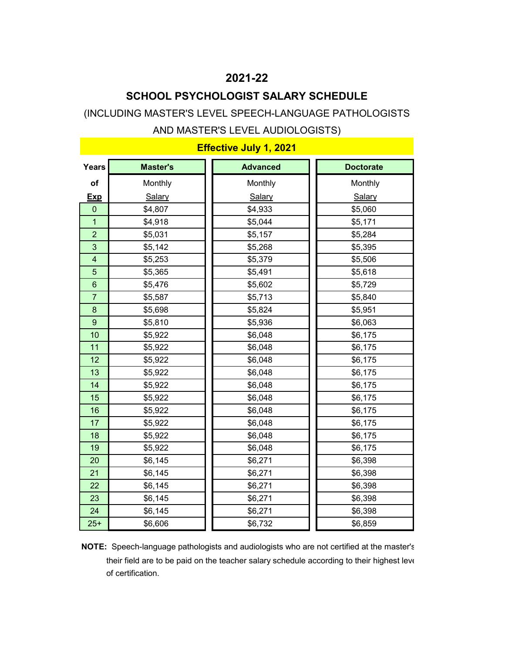### **SCHOOL PSYCHOLOGIST SALARY SCHEDULE**

#### (INCLUDING MASTER'S LEVEL SPEECH-LANGUAGE PATHOLOGISTS

#### AND MASTER'S LEVEL AUDIOLOGISTS)

| Years           | <b>Master's</b> | <b>Advanced</b> | <b>Doctorate</b> |
|-----------------|-----------------|-----------------|------------------|
| of              | Monthly         | Monthly         | Monthly          |
| <b>Exp</b>      | Salary          | Salary          | Salary           |
| $\mathbf{0}$    | \$4,807         | \$4,933         | \$5,060          |
| 1               | \$4,918         | \$5,044         | \$5,171          |
| $\overline{2}$  | \$5,031         | \$5,157         | \$5,284          |
| 3               | \$5,142         | \$5,268         | \$5,395          |
| $\overline{4}$  | \$5,253         | \$5,379         | \$5,506          |
| 5               | \$5,365         | \$5,491         | \$5,618          |
| $6\phantom{1}6$ | \$5,476         | \$5,602         | \$5,729          |
| $\overline{7}$  | \$5,587         | \$5,713         | \$5,840          |
| 8               | \$5,698         | \$5,824         | \$5,951          |
| 9               | \$5,810         | \$5,936         | \$6,063          |
| 10              | \$5,922         | \$6,048         | \$6,175          |
| 11              | \$5,922         | \$6,048         | \$6,175          |
| 12              | \$5,922         | \$6,048         | \$6,175          |
| 13              | \$5,922         | \$6,048         | \$6,175          |
| 14              | \$5,922         | \$6,048         | \$6,175          |
| 15              | \$5,922         | \$6,048         | \$6,175          |
| 16              | \$5,922         | \$6,048         | \$6,175          |
| 17              | \$5,922         | \$6,048         | \$6,175          |
| 18              | \$5,922         | \$6,048         | \$6,175          |
| 19              | \$5,922         | \$6,048         | \$6,175          |
| 20              | \$6,145         | \$6,271         | \$6,398          |
| 21              | \$6,145         | \$6,271         | \$6,398          |
| 22              | \$6,145         | \$6,271         | \$6,398          |
| 23              | \$6,145         | \$6,271         | \$6,398          |
| 24              | \$6,145         | \$6,271         | \$6,398          |
| $25+$           | \$6,606         | \$6,732         | \$6,859          |

### **Effective July 1, 2021**

**NOTE:** Speech-language pathologists and audiologists who are not certified at the master's their field are to be paid on the teacher salary schedule according to their highest leve of certification.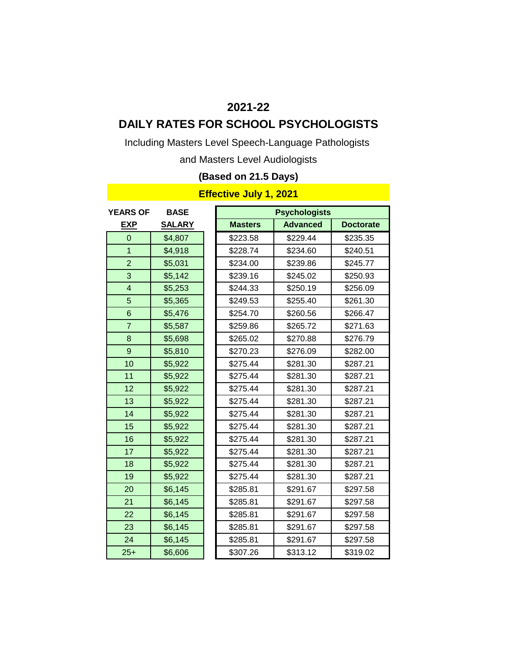### **DAILY RATES FOR SCHOOL PSYCHOLOGISTS**

Including Masters Level Speech-Language Pathologists

and Masters Level Audiologists

### **(Based on 21.5 Days)**

| <b>YEARS OF</b> | <b>BASE</b>   |                | <b>Psychologists</b> |                  |
|-----------------|---------------|----------------|----------------------|------------------|
| <b>EXP</b>      | <b>SALARY</b> | <b>Masters</b> | <b>Advanced</b>      | <b>Doctorate</b> |
| $\Omega$        | \$4,807       | \$223.58       | \$229.44             | \$235.35         |
| $\overline{1}$  | \$4,918       | \$228.74       | \$234.60             | \$240.51         |
| $\overline{2}$  | \$5,031       | \$234.00       | \$239.86             | \$245.77         |
| 3               | \$5,142       | \$239.16       | \$245.02             | \$250.93         |
| 4               | \$5,253       | \$244.33       | \$250.19             | \$256.09         |
| 5               | \$5,365       | \$249.53       | \$255.40             | \$261.30         |
| 6               | \$5,476       | \$254.70       | \$260.56             | \$266.47         |
| $\overline{7}$  | \$5,587       | \$259.86       | \$265.72             | \$271.63         |
| 8               | \$5,698       | \$265.02       | \$270.88             | \$276.79         |
| $\mathsf g$     | \$5,810       | \$270.23       | \$276.09             | \$282.00         |
| 10              | \$5,922       | \$275.44       | \$281.30             | \$287.21         |
| 11              | \$5,922       | \$275.44       | \$281.30             | \$287.21         |
| 12              | \$5,922       | \$275.44       | \$281.30             | \$287.21         |
| 13              | \$5,922       | \$275.44       | \$281.30             | \$287.21         |
| 14              | \$5,922       | \$275.44       | \$281.30             | \$287.21         |
| 15              | \$5,922       | \$275.44       | \$281.30             | \$287.21         |
| 16              | \$5,922       | \$275.44       | \$281.30             | \$287.21         |
| 17              | \$5,922       | \$275.44       | \$281.30             | \$287.21         |
| 18              | \$5,922       | \$275.44       | \$281.30             | \$287.21         |
| 19              | \$5,922       | \$275.44       | \$281.30             | \$287.21         |
| 20              | \$6,145       | \$285.81       | \$291.67             | \$297.58         |
| 21              | \$6,145       | \$285.81       | \$291.67             | \$297.58         |
| 22              | \$6,145       | \$285.81       | \$291.67             | \$297.58         |
| 23              | \$6,145       | \$285.81       | \$291.67             | \$297.58         |
| 24              | \$6,145       | \$285.81       | \$291.67             | \$297.58         |
| $25+$           | \$6,606       | \$307.26       | \$313.12             | \$319.02         |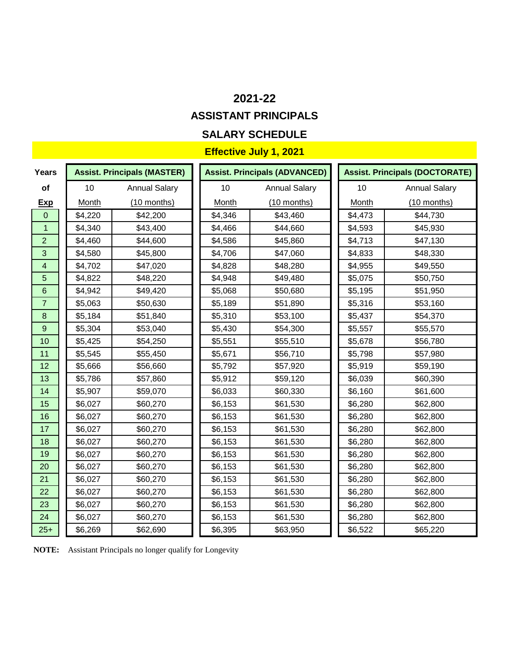### **ASSISTANT PRINCIPALS**

### **SALARY SCHEDULE**

### **Effective July 1, 2021**

| <b>Years</b>     |              | <b>Assist. Principals (MASTER)</b> |              | <b>Assist. Principals (ADVANCED)</b> |              | <b>Assist. Principals (DOCTORATE)</b> |
|------------------|--------------|------------------------------------|--------------|--------------------------------------|--------------|---------------------------------------|
| of               | 10           | <b>Annual Salary</b>               | 10           | <b>Annual Salary</b>                 | 10           | <b>Annual Salary</b>                  |
| <u>Exp</u>       | <b>Month</b> | $(10$ months)                      | <b>Month</b> | $(10$ months)                        | <b>Month</b> | $(10$ months)                         |
| $\overline{0}$   | \$4,220      | \$42,200                           | \$4,346      | \$43,460                             | \$4,473      | \$44,730                              |
| 1                | \$4,340      | \$43,400                           | \$4,466      | \$44,660                             | \$4,593      | \$45,930                              |
| $\overline{2}$   | \$4,460      | \$44,600                           | \$4,586      | \$45,860                             | \$4,713      | \$47,130                              |
| 3                | \$4,580      | \$45,800                           | \$4,706      | \$47,060                             | \$4,833      | \$48,330                              |
| $\overline{4}$   | \$4,702      | \$47,020                           | \$4,828      | \$48,280                             | \$4,955      | \$49,550                              |
| 5                | \$4,822      | \$48,220                           | \$4,948      | \$49,480                             | \$5,075      | \$50,750                              |
| $6\phantom{a}$   | \$4,942      | \$49,420                           | \$5,068      | \$50,680                             | \$5,195      | \$51,950                              |
| $\overline{7}$   | \$5,063      | \$50,630                           | \$5,189      | \$51,890                             | \$5,316      | \$53,160                              |
| $\bf{8}$         | \$5,184      | \$51,840                           | \$5,310      | \$53,100                             | \$5,437      | \$54,370                              |
| $\boldsymbol{9}$ | \$5,304      | \$53,040                           | \$5,430      | \$54,300                             | \$5,557      | \$55,570                              |
| 10               | \$5,425      | \$54,250                           | \$5,551      | \$55,510                             | \$5,678      | \$56,780                              |
| 11               | \$5,545      | \$55,450                           | \$5,671      | \$56,710                             | \$5,798      | \$57,980                              |
| 12               | \$5,666      | \$56,660                           | \$5,792      | \$57,920                             | \$5,919      | \$59,190                              |
| 13               | \$5,786      | \$57,860                           | \$5,912      | \$59,120                             | \$6,039      | \$60,390                              |
| 14               | \$5,907      | \$59,070                           | \$6,033      | \$60,330                             | \$6,160      | \$61,600                              |
| 15               | \$6,027      | \$60,270                           | \$6,153      | \$61,530                             | \$6,280      | \$62,800                              |
| 16               | \$6,027      | \$60,270                           | \$6,153      | \$61,530                             | \$6,280      | \$62,800                              |
| 17               | \$6,027      | \$60,270                           | \$6,153      | \$61,530                             | \$6,280      | \$62,800                              |
| 18               | \$6,027      | \$60,270                           | \$6,153      | \$61,530                             | \$6,280      | \$62,800                              |
| 19               | \$6,027      | \$60,270                           | \$6,153      | \$61,530                             | \$6,280      | \$62,800                              |
| 20               | \$6,027      | \$60,270                           | \$6,153      | \$61,530                             | \$6,280      | \$62,800                              |
| 21               | \$6,027      | \$60,270                           | \$6,153      | \$61,530                             | \$6,280      | \$62,800                              |
| 22               | \$6,027      | \$60,270                           | \$6,153      | \$61,530                             | \$6,280      | \$62,800                              |
| 23               | \$6,027      | \$60,270                           | \$6,153      | \$61,530                             | \$6,280      | \$62,800                              |
| 24               | \$6,027      | \$60,270                           | \$6,153      | \$61,530                             | \$6,280      | \$62,800                              |
| $25+$            | \$6,269      | \$62,690                           | \$6,395      | \$63,950                             | \$6,522      | \$65,220                              |

**NOTE:** Assistant Principals no longer qualify for Longevity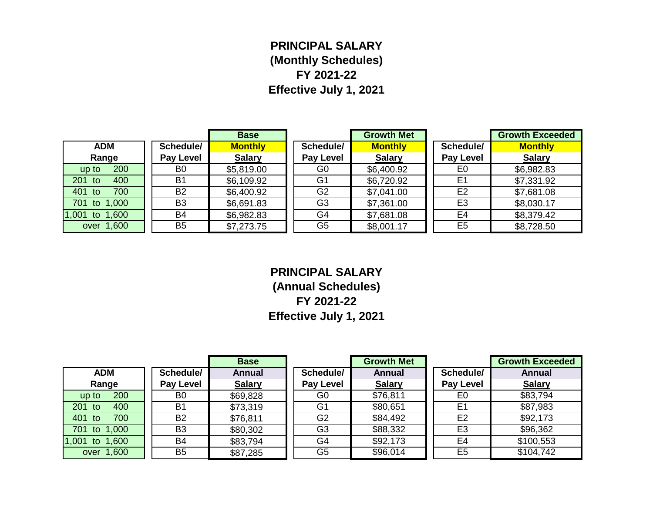# **PRINCIPAL SALARY (Monthly Schedules) FY 2021-22 Effective July 1, 2021**

|                |                  | <b>Base</b>    |                | <b>Growth Met</b> |                  | <b>Growth Exceeded</b> |
|----------------|------------------|----------------|----------------|-------------------|------------------|------------------------|
| <b>ADM</b>     | Schedule/        | <b>Monthly</b> | Schedule/      | <b>Monthly</b>    | Schedule/        | <b>Monthly</b>         |
| Range          | <b>Pay Level</b> | <b>Salary</b>  | Pay Level      | <b>Salary</b>     | <b>Pay Level</b> | <b>Salary</b>          |
| 200<br>up to   | B <sub>0</sub>   | \$5,819.00     | G <sub>0</sub> | \$6,400.92        | E0               | \$6,982.83             |
| 201 to<br>400  | <b>B1</b>        | \$6,109.92     | G <sub>1</sub> | \$6,720.92        | E <sub>1</sub>   | \$7,331.92             |
| 401 to<br>700  | <b>B2</b>        | \$6,400.92     | G <sub>2</sub> | \$7,041.00        | E <sub>2</sub>   | \$7,681.08             |
| 701 to 1,000   | B <sub>3</sub>   | \$6,691.83     | G <sub>3</sub> | \$7,361.00        | E <sub>3</sub>   | \$8,030.17             |
| 1,001 to 1,600 | <b>B4</b>        | \$6,982.83     | G4             | \$7,681.08        | E4               | \$8,379.42             |
| over 1,600     | B <sub>5</sub>   | \$7,273.75     | G <sub>5</sub> | \$8,001.17        | E <sub>5</sub>   | \$8,728.50             |

**PRINCIPAL SALARY (Annual Schedules) FY 2021-22 Effective July 1, 2021**

|                   |                  | <b>Base</b>   |                  | <b>Growth Met</b> |                  | <b>Growth Exceeded</b> |
|-------------------|------------------|---------------|------------------|-------------------|------------------|------------------------|
| <b>ADM</b>        | Schedule/        | <b>Annual</b> | Schedule/        | <b>Annual</b>     | Schedule/        | <b>Annual</b>          |
| Range             | <b>Pay Level</b> | <b>Salary</b> | <b>Pay Level</b> | <b>Salary</b>     | <b>Pay Level</b> | <b>Salary</b>          |
| 200<br>up to      | B <sub>0</sub>   | \$69,828      | G <sub>0</sub>   | \$76,811          | E <sub>0</sub>   | \$83,794               |
| 201 to<br>400     | B1               | \$73,319      | G1               | \$80,651          | E <sub>1</sub>   | \$87,983               |
| 401 to<br>700     | <b>B2</b>        | \$76,811      | G <sub>2</sub>   | \$84,492          | E <sub>2</sub>   | \$92,173               |
| 701 to<br>1,000   | B <sub>3</sub>   | \$80,302      | G <sub>3</sub>   | \$88,332          | E <sub>3</sub>   | \$96,362               |
| 1,001 to<br>1,600 | <b>B4</b>        | \$83,794      | G4               | \$92,173          | E4               | \$100,553              |
| over 1,600        | B <sub>5</sub>   | \$87,285      | G <sub>5</sub>   | \$96,014          | E <sub>5</sub>   | \$104,742              |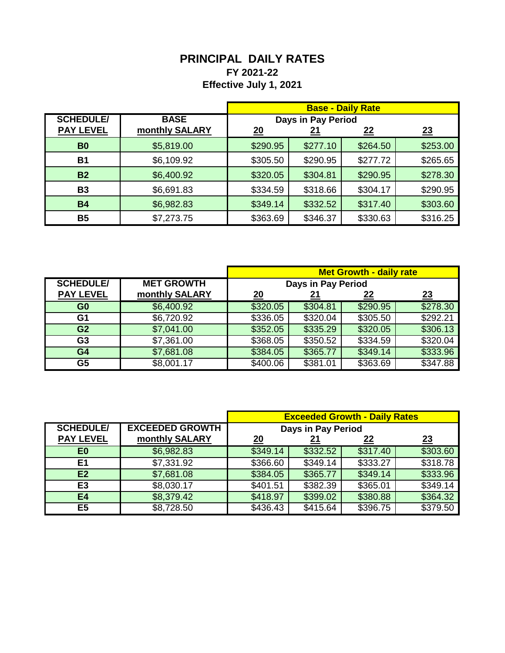## **PRINCIPAL DAILY RATES FY 2021-22 Effective July 1, 2021**

|                  |                |          |                    | <b>Base - Daily Rate</b> |          |
|------------------|----------------|----------|--------------------|--------------------------|----------|
| <b>SCHEDULE/</b> | <b>BASE</b>    |          | Days in Pay Period |                          |          |
| <b>PAY LEVEL</b> | monthly SALARY | 20       | <u> 21</u>         | <u>22</u>                | 23       |
| B <sub>0</sub>   | \$5,819.00     | \$290.95 | \$277.10           | \$264.50                 | \$253.00 |
| <b>B1</b>        | \$6,109.92     | \$305.50 | \$290.95           | \$277.72                 | \$265.65 |
| <b>B2</b>        | \$6,400.92     | \$320.05 | \$304.81           | \$290.95                 | \$278.30 |
| <b>B3</b>        | \$6,691.83     | \$334.59 | \$318.66           | \$304.17                 | \$290.95 |
| <b>B4</b>        | \$6,982.83     | \$349.14 | \$332.52           | \$317.40                 | \$303.60 |
| <b>B5</b>        | \$7,273.75     | \$363.69 | \$346.37           | \$330.63                 | \$316.25 |

|                  |                   | <b>Met Growth - daily rate</b> |                    |           |          |
|------------------|-------------------|--------------------------------|--------------------|-----------|----------|
| <b>SCHEDULE/</b> | <b>MET GROWTH</b> |                                | Days in Pay Period |           |          |
| <b>PAY LEVEL</b> | monthly SALARY    | <u> 20</u>                     |                    | <u>22</u> | 23       |
| G <sub>0</sub>   | \$6,400.92        | \$320.05                       | \$304.81           | \$290.95  | \$278.30 |
| G1               | \$6,720.92        | \$336.05                       | \$320.04           | \$305.50  | \$292.21 |
| G <sub>2</sub>   | \$7,041.00        | \$352.05                       | \$335.29           | \$320.05  | \$306.13 |
| G <sub>3</sub>   | \$7,361.00        | \$368.05                       | \$350.52           | \$334.59  | \$320.04 |
| G <sub>4</sub>   | \$7,681.08        | \$384.05                       | \$365.77           | \$349.14  | \$333.96 |
| G <sub>5</sub>   | \$8,001.17        | \$400.06                       | \$381.01           | \$363.69  | \$347.88 |

|                  |                        | <b>Exceeded Growth - Daily Rates</b> |                    |          |          |
|------------------|------------------------|--------------------------------------|--------------------|----------|----------|
| <b>SCHEDULE/</b> | <b>EXCEEDED GROWTH</b> |                                      | Days in Pay Period |          |          |
| <b>PAY LEVEL</b> | monthly SALARY         | <u>20</u>                            |                    | 22       | 23       |
| E <sub>0</sub>   | \$6,982.83             | \$349.14                             | \$332.52           | \$317.40 | \$303.60 |
| E1               | \$7,331.92             | \$366.60                             | \$349.14           | \$333.27 | \$318.78 |
| E2               | \$7,681.08             | \$384.05                             | \$365.77           | \$349.14 | \$333.96 |
| E <sub>3</sub>   | \$8,030.17             | \$401.51                             | \$382.39           | \$365.01 | \$349.14 |
| E4               | \$8,379.42             | \$418.97                             | \$399.02           | \$380.88 | \$364.32 |
| E <sub>5</sub>   | \$8,728.50             | \$436.43                             | \$415.64           | \$396.75 | \$379.50 |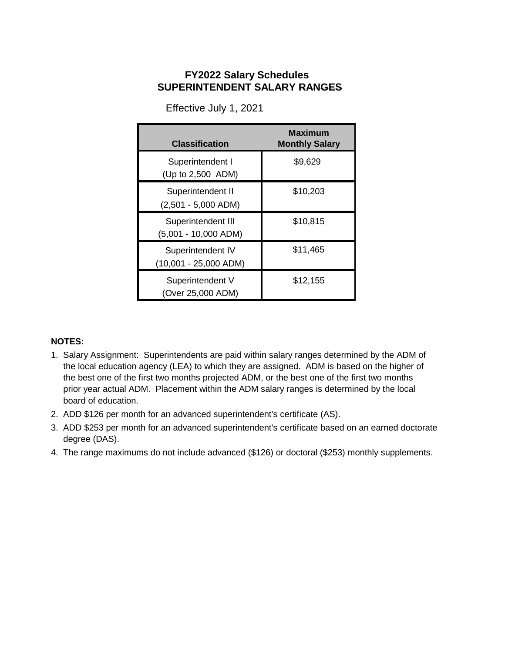### **SUPERINTENDENT SALARY RANGES FY2022 Salary Schedules**

| <b>Classification</b>                        | Maximum<br><b>Monthly Salary</b> |
|----------------------------------------------|----------------------------------|
| Superintendent I<br>(Up to 2,500 ADM)        | \$9,629                          |
| Superintendent II<br>$(2,501 - 5,000$ ADM)   | \$10,203                         |
| Superintendent III<br>$(5,001 - 10,000$ ADM) | \$10,815                         |
| Superintendent IV<br>$(10,001 - 25,000$ ADM) | \$11,465                         |
| Superintendent V<br>(Over 25,000 ADM)        | \$12,155                         |

Effective July 1, 2021

#### **NOTES:**

- 1. Salary Assignment: Superintendents are paid within salary ranges determined by the ADM of the local education agency (LEA) to which they are assigned. ADM is based on the higher of the best one of the first two months projected ADM, or the best one of the first two months prior year actual ADM. Placement within the ADM salary ranges is determined by the local board of education.
- 2. ADD \$126 per month for an advanced superintendent's certificate (AS).
- 3. ADD \$253 per month for an advanced superintendent's certificate based on an earned doctorate degree (DAS).
- 4. The range maximums do not include advanced (\$126) or doctoral (\$253) monthly supplements.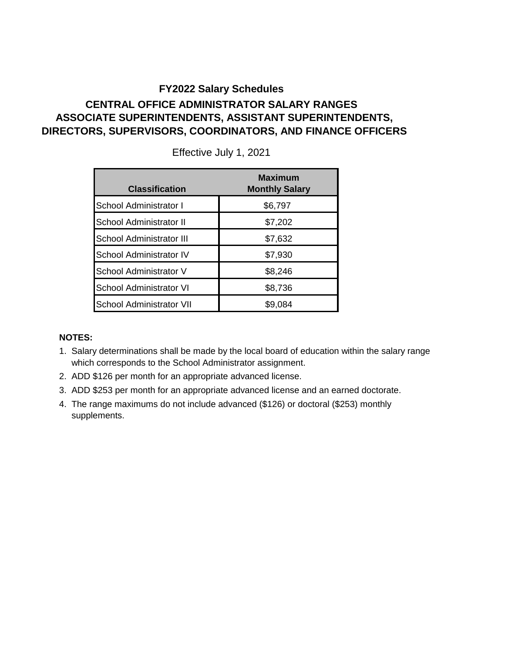### **CENTRAL OFFICE ADMINISTRATOR SALARY RANGES ASSOCIATE SUPERINTENDENTS, ASSISTANT SUPERINTENDENTS, DIRECTORS, SUPERVISORS, COORDINATORS, AND FINANCE OFFICERS**

| <b>Classification</b>           | <b>Maximum</b><br><b>Monthly Salary</b> |
|---------------------------------|-----------------------------------------|
| School Administrator I          | \$6,797                                 |
| School Administrator II         | \$7,202                                 |
| School Administrator III        | \$7,632                                 |
| <b>School Administrator IV</b>  | \$7,930                                 |
| School Administrator V          | \$8,246                                 |
| <b>School Administrator VI</b>  | \$8,736                                 |
| <b>School Administrator VII</b> | \$9,084                                 |

Effective July 1, 2021

#### **NOTES:**

- 1. Salary determinations shall be made by the local board of education within the salary range which corresponds to the School Administrator assignment.
- 2. ADD \$126 per month for an appropriate advanced license.
- 3. ADD \$253 per month for an appropriate advanced license and an earned doctorate.
- 4. The range maximums do not include advanced (\$126) or doctoral (\$253) monthly supplements.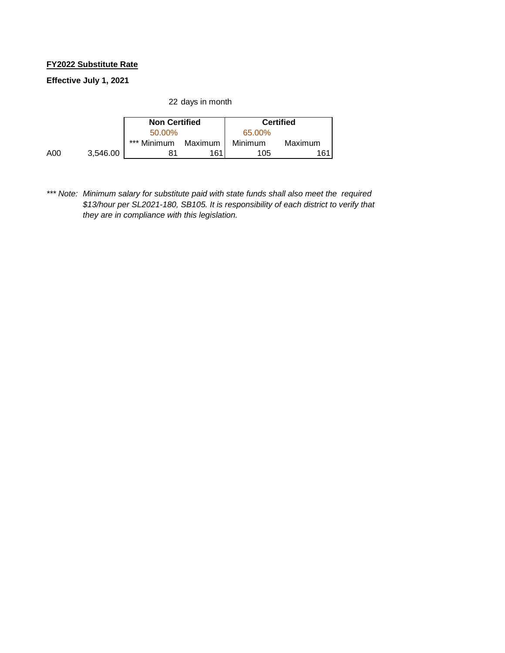#### **FY2022 Substitute Rate**

**Effective July 1, 2021**

22 days in month

|     |          | <b>Non Certified</b> |         |         | <b>Certified</b> |
|-----|----------|----------------------|---------|---------|------------------|
|     |          | 50.00%               |         | 65.00%  |                  |
|     |          | *** Minimum          | Maximum | Minimum | Maximum          |
| A00 | 3.546.00 | 81                   | 161     | 105     | 161.             |

*\*\*\* Note: Minimum salary for substitute paid with state funds shall also meet the required \$13/hour per SL2021-180, SB105. It is responsibility of each district to verify that they are in compliance with this legislation.*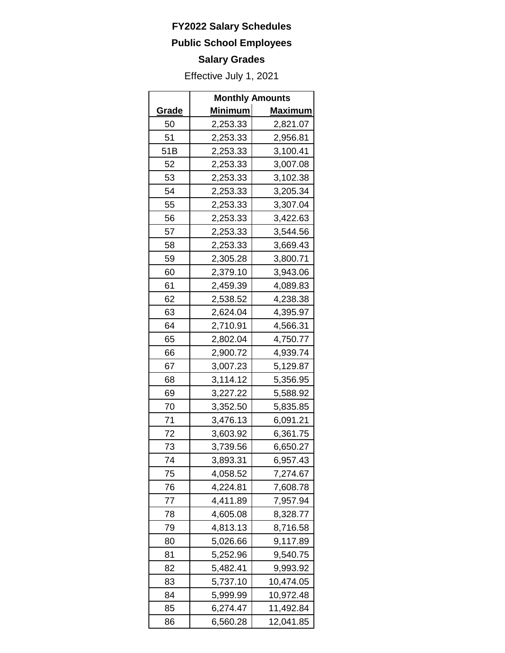### **Public School Employees**

# **Salary Grades**

|              | <b>Monthly Amounts</b> |                |  |
|--------------|------------------------|----------------|--|
| <u>Grade</u> | <u>Minimum</u>         | <b>Maximum</b> |  |
| 50           | 2,253.33               | 2,821.07       |  |
| 51           | 2,253.33               | 2,956.81       |  |
| 51B          | 2,253.33               | 3,100.41       |  |
| 52           | 2,253.33               | 3,007.08       |  |
| 53           | 2,253.33               | 3,102.38       |  |
| 54           | 2,253.33               | 3,205.34       |  |
| 55           | 2,253.33               | 3,307.04       |  |
| 56           | 2,253.33               | 3,422.63       |  |
| 57           | 2,253.33               | 3,544.56       |  |
| 58           | 2,253.33               | 3,669.43       |  |
| 59           | 2,305.28               | 3,800.71       |  |
| 60           | 2,379.10               | 3,943.06       |  |
| 61           | 2,459.39               | 4,089.83       |  |
| 62           | 2,538.52               | 4,238.38       |  |
| 63           | 2,624.04               | 4,395.97       |  |
| 64           | 2,710.91               | 4,566.31       |  |
| 65           | 2,802.04               | 4,750.77       |  |
| 66           | 2,900.72               | 4,939.74       |  |
| 67           | 3,007.23               | 5,129.87       |  |
| 68           | 3,114.12               | 5,356.95       |  |
| 69           | 3,227.22               | 5,588.92       |  |
| 70           | 3,352.50               | 5,835.85       |  |
| 71           | 3,476.13               | 6,091.21       |  |
| 72           | 3,603.92               | 6,361.75       |  |
| 73           | 3,739.56               | 6,650.27       |  |
| 74           | 3,893.31               | 6,957.43       |  |
| 75           | 4,058.52               | 7,274.67       |  |
| 76           | 4,224.81               | 7,608.78       |  |
| 77           | 4,411.89               | 7,957.94       |  |
| 78           | 4,605.08               | 8,328.77       |  |
| 79           | 4,813.13               | 8,716.58       |  |
| 80           | 5,026.66               | 9,117.89       |  |
| 81           | 5,252.96               | 9,540.75       |  |
| 82           | 5,482.41               | 9,993.92       |  |
| 83           | 5,737.10               | 10,474.05      |  |
| 84           | 5,999.99               | 10,972.48      |  |
| 85           | 6,274.47               | 11,492.84      |  |
| 86           | 6,560.28               | 12,041.85      |  |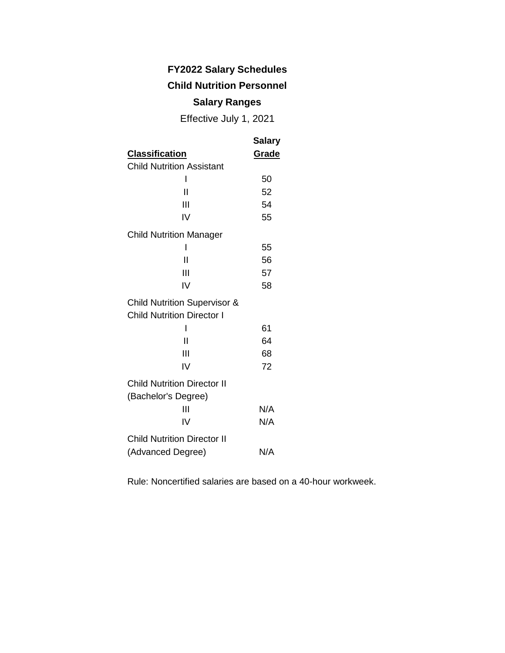### **FY2022 Salary Schedules Child Nutrition Personnel**

### **Salary Ranges**

Effective July 1, 2021

|                                                           | <b>Salary</b> |
|-----------------------------------------------------------|---------------|
| <b>Classification</b>                                     | <b>Grade</b>  |
| <b>Child Nutrition Assistant</b>                          |               |
| I                                                         | 50            |
| Ш                                                         | 52            |
| Ш                                                         | 54            |
| IV                                                        | 55            |
| <b>Child Nutrition Manager</b>                            |               |
|                                                           | 55            |
| Ш                                                         | 56            |
| Ш                                                         | 57            |
| IV                                                        | 58            |
| <b>Child Nutrition Supervisor &amp;</b>                   |               |
| <b>Child Nutrition Director I</b>                         |               |
| ı                                                         | 61            |
| Ш                                                         | 64            |
| Ш                                                         | 68            |
| IV                                                        | 72            |
| <b>Child Nutrition Director II</b><br>(Bachelor's Degree) |               |
| Ш                                                         | N/A           |
| IV                                                        | N/A           |
| <b>Child Nutrition Director II</b>                        |               |
| (Advanced Degree)                                         | N/A           |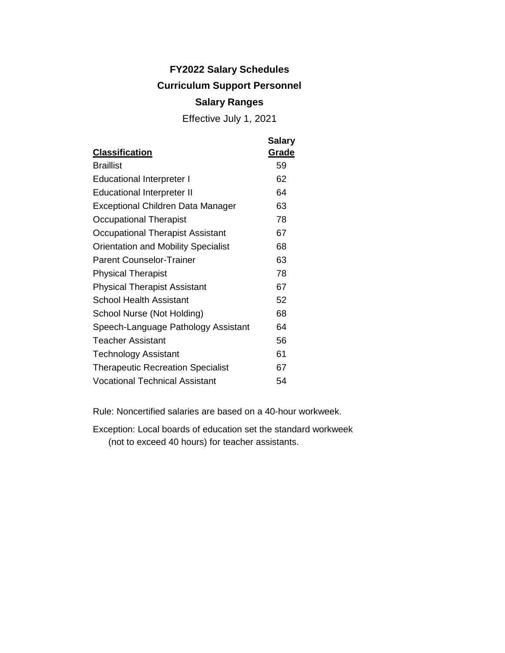# **FY2022 Salary Schedules Curriculum Support Personnel**

### **Salary Ranges**

Effective July 1, 2021

|                                            | <b>Salary</b> |
|--------------------------------------------|---------------|
| <b>Classification</b>                      | <u>Grade</u>  |
| <b>Braillist</b>                           | 59            |
| <b>Educational Interpreter I</b>           | 62            |
| <b>Educational Interpreter II</b>          | 64            |
| Exceptional Children Data Manager          | 63            |
| Occupational Therapist                     | 78            |
| Occupational Therapist Assistant           | 67            |
| <b>Orientation and Mobility Specialist</b> | 68            |
| <b>Parent Counselor-Trainer</b>            | 63            |
| <b>Physical Therapist</b>                  | 78            |
| <b>Physical Therapist Assistant</b>        | 67            |
| <b>School Health Assistant</b>             | 52            |
| School Nurse (Not Holding)                 | 68            |
| Speech-Language Pathology Assistant        | 64            |
| <b>Teacher Assistant</b>                   | 56            |
| <b>Technology Assistant</b>                | 61            |
| <b>Therapeutic Recreation Specialist</b>   | 67            |
| <b>Vocational Technical Assistant</b>      | 54            |
|                                            |               |

Rule: Noncertified salaries are based on a 40-hour workweek.

Exception: Local boards of education set the standard workweek (not to exceed 40 hours) for teacher assistants.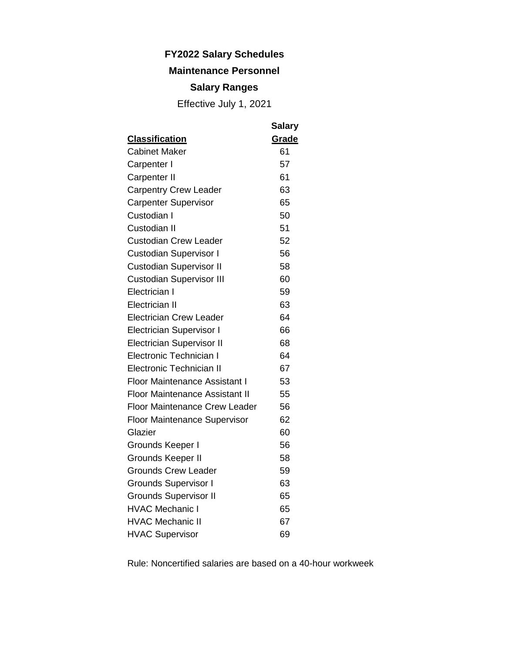### **Maintenance Personnel**

### **Salary Ranges**

Effective July 1, 2021

|                                       | <b>Salary</b> |
|---------------------------------------|---------------|
| <b>Classification</b>                 | Grade         |
| <b>Cabinet Maker</b>                  | 61            |
| Carpenter I                           | 57            |
| Carpenter II                          | 61            |
| <b>Carpentry Crew Leader</b>          | 63            |
| <b>Carpenter Supervisor</b>           | 65            |
| Custodian I                           | 50            |
| Custodian II                          | 51            |
| <b>Custodian Crew Leader</b>          | 52            |
| <b>Custodian Supervisor I</b>         | 56            |
| <b>Custodian Supervisor II</b>        | 58            |
| <b>Custodian Supervisor III</b>       | 60            |
| Electrician I                         | 59            |
| Electrician II                        | 63            |
| <b>Electrician Crew Leader</b>        | 64            |
| <b>Electrician Supervisor I</b>       | 66            |
| <b>Electrician Supervisor II</b>      | 68            |
| Electronic Technician I               | 64            |
| <b>Electronic Technician II</b>       | 67            |
| <b>Floor Maintenance Assistant I</b>  | 53            |
| <b>Floor Maintenance Assistant II</b> | 55            |
| <b>Floor Maintenance Crew Leader</b>  | 56            |
| Floor Maintenance Supervisor          | 62            |
| Glazier                               | 60            |
| Grounds Keeper I                      | 56            |
| Grounds Keeper II                     | 58            |
| <b>Grounds Crew Leader</b>            | 59            |
| <b>Grounds Supervisor I</b>           | 63            |
| <b>Grounds Supervisor II</b>          | 65            |
| <b>HVAC Mechanic I</b>                | 65            |
| <b>HVAC Mechanic II</b>               | 67            |
| <b>HVAC Supervisor</b>                | 69            |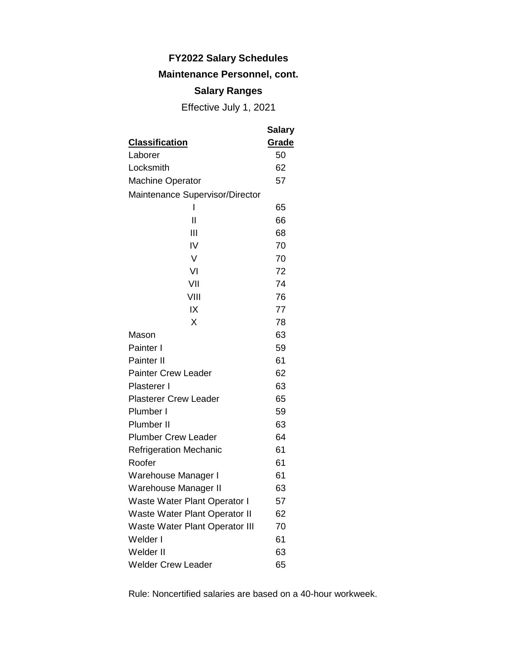### **Maintenance Personnel, cont.**

### **Salary Ranges**

Effective July 1, 2021

|                                 | Salary |
|---------------------------------|--------|
| <b>Classification</b>           | Grade  |
| Laborer                         | 50     |
| Locksmith                       | 62     |
| <b>Machine Operator</b>         | 57     |
| Maintenance Supervisor/Director |        |
| I                               | 65     |
| Ш                               | 66     |
| Ш                               | 68     |
| IV                              | 70     |
| V                               | 70     |
| VI                              | 72     |
| VII                             | 74     |
| VIII                            | 76     |
| IX                              | 77     |
| X                               | 78     |
| Mason                           | 63     |
| Painter I                       | 59     |
| Painter II                      | 61     |
| <b>Painter Crew Leader</b>      | 62     |
| Plasterer I                     | 63     |
| <b>Plasterer Crew Leader</b>    | 65     |
| Plumber I                       | 59     |
| Plumber II                      | 63     |
| <b>Plumber Crew Leader</b>      | 64     |
| <b>Refrigeration Mechanic</b>   | 61     |
| Roofer                          | 61     |
| Warehouse Manager I             | 61     |
| Warehouse Manager II            | 63     |
| Waste Water Plant Operator I    | 57     |
| Waste Water Plant Operator II   | 62     |
| Waste Water Plant Operator III  | 70     |
| Welder I                        | 61     |
| Welder II                       | 63     |
| <b>Welder Crew Leader</b>       | 65     |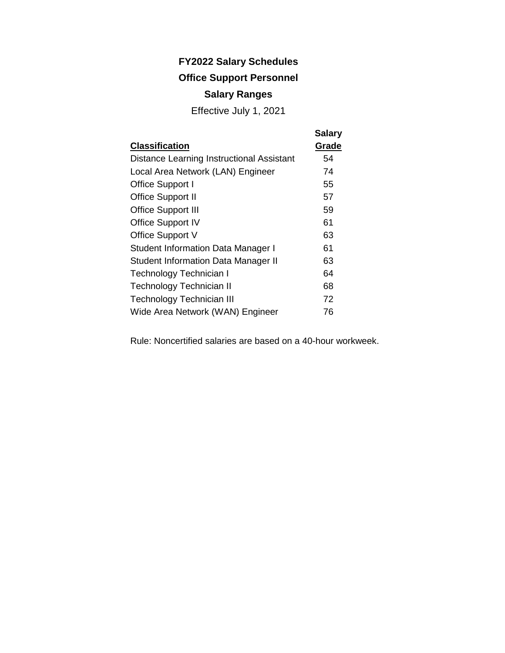### **Office Support Personnel**

### **Salary Ranges**

Effective July 1, 2021

|                                            | <b>Salary</b> |
|--------------------------------------------|---------------|
| <b>Classification</b>                      | Grade         |
| Distance Learning Instructional Assistant  | 54            |
| Local Area Network (LAN) Engineer          | 74            |
| Office Support I                           | 55            |
| <b>Office Support II</b>                   | 57            |
| <b>Office Support III</b>                  | 59            |
| <b>Office Support IV</b>                   | 61            |
| Office Support V                           | 63            |
| <b>Student Information Data Manager I</b>  | 61            |
| <b>Student Information Data Manager II</b> | 63            |
| Technology Technician I                    | 64            |
| Technology Technician II                   | 68            |
| <b>Technology Technician III</b>           | 72            |
| Wide Area Network (WAN) Engineer           | 76            |